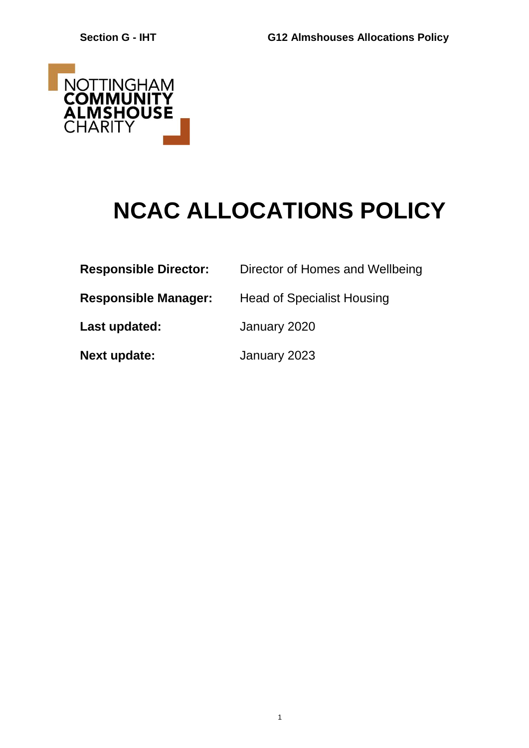

# **NCAC ALLOCATIONS POLICY**

1

| <b>Responsible Director:</b> | Director of Homes and Wellbeing   |
|------------------------------|-----------------------------------|
| <b>Responsible Manager:</b>  | <b>Head of Specialist Housing</b> |
| Last updated:                | January 2020                      |
| <b>Next update:</b>          | January 2023                      |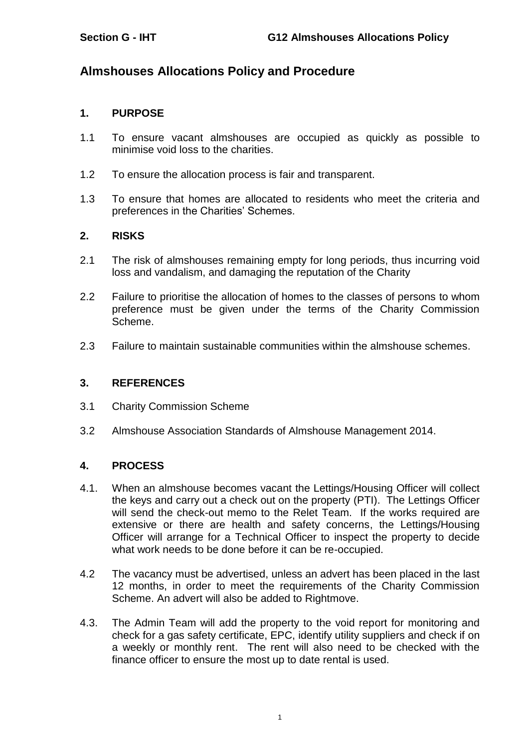## **Almshouses Allocations Policy and Procedure**

#### **1. PURPOSE**

- 1.1 To ensure vacant almshouses are occupied as quickly as possible to minimise void loss to the charities.
- 1.2 To ensure the allocation process is fair and transparent.
- 1.3 To ensure that homes are allocated to residents who meet the criteria and preferences in the Charities' Schemes.

## **2. RISKS**

- 2.1 The risk of almshouses remaining empty for long periods, thus incurring void loss and vandalism, and damaging the reputation of the Charity
- 2.2 Failure to prioritise the allocation of homes to the classes of persons to whom preference must be given under the terms of the Charity Commission Scheme.
- 2.3 Failure to maintain sustainable communities within the almshouse schemes.

#### **3. REFERENCES**

- 3.1 Charity Commission Scheme
- 3.2 Almshouse Association Standards of Almshouse Management 2014.

#### **4. PROCESS**

- 4.1. When an almshouse becomes vacant the Lettings/Housing Officer will collect the keys and carry out a check out on the property (PTI). The Lettings Officer will send the check-out memo to the Relet Team. If the works required are extensive or there are health and safety concerns, the Lettings/Housing Officer will arrange for a Technical Officer to inspect the property to decide what work needs to be done before it can be re-occupied.
- 4.2 The vacancy must be advertised, unless an advert has been placed in the last 12 months, in order to meet the requirements of the Charity Commission Scheme. An advert will also be added to Rightmove.
- 4.3. The Admin Team will add the property to the void report for monitoring and check for a gas safety certificate, EPC, identify utility suppliers and check if on a weekly or monthly rent. The rent will also need to be checked with the finance officer to ensure the most up to date rental is used.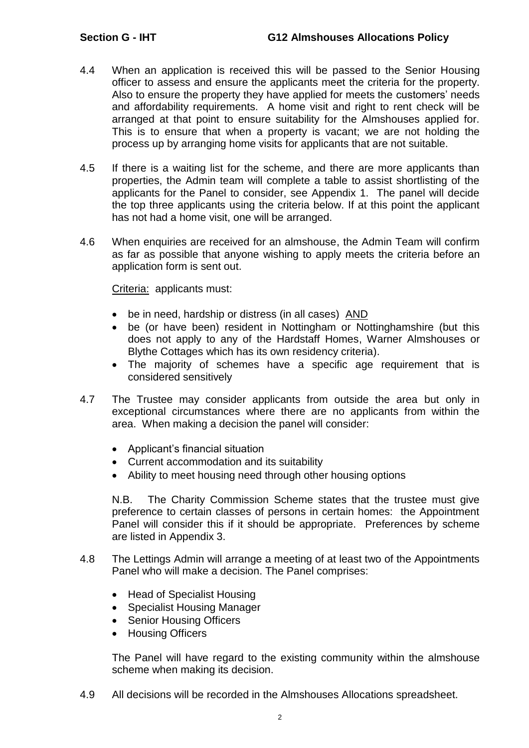- 4.4 When an application is received this will be passed to the Senior Housing officer to assess and ensure the applicants meet the criteria for the property. Also to ensure the property they have applied for meets the customers' needs and affordability requirements. A home visit and right to rent check will be arranged at that point to ensure suitability for the Almshouses applied for. This is to ensure that when a property is vacant; we are not holding the process up by arranging home visits for applicants that are not suitable.
- 4.5 If there is a waiting list for the scheme, and there are more applicants than properties, the Admin team will complete a table to assist shortlisting of the applicants for the Panel to consider, see Appendix 1. The panel will decide the top three applicants using the criteria below. If at this point the applicant has not had a home visit, one will be arranged.
- 4.6 When enquiries are received for an almshouse, the Admin Team will confirm as far as possible that anyone wishing to apply meets the criteria before an application form is sent out.

Criteria: applicants must:

- be in need, hardship or distress (in all cases) AND
- be (or have been) resident in Nottingham or Nottinghamshire (but this does not apply to any of the Hardstaff Homes, Warner Almshouses or Blythe Cottages which has its own residency criteria).
- The majority of schemes have a specific age requirement that is considered sensitively
- 4.7 The Trustee may consider applicants from outside the area but only in exceptional circumstances where there are no applicants from within the area. When making a decision the panel will consider:
	- Applicant's financial situation
	- Current accommodation and its suitability
	- Ability to meet housing need through other housing options

N.B. The Charity Commission Scheme states that the trustee must give preference to certain classes of persons in certain homes: the Appointment Panel will consider this if it should be appropriate. Preferences by scheme are listed in Appendix 3.

- 4.8 The Lettings Admin will arrange a meeting of at least two of the Appointments Panel who will make a decision. The Panel comprises:
	- Head of Specialist Housing
	- Specialist Housing Manager
	- Senior Housing Officers
	- Housing Officers

The Panel will have regard to the existing community within the almshouse scheme when making its decision.

4.9 All decisions will be recorded in the Almshouses Allocations spreadsheet.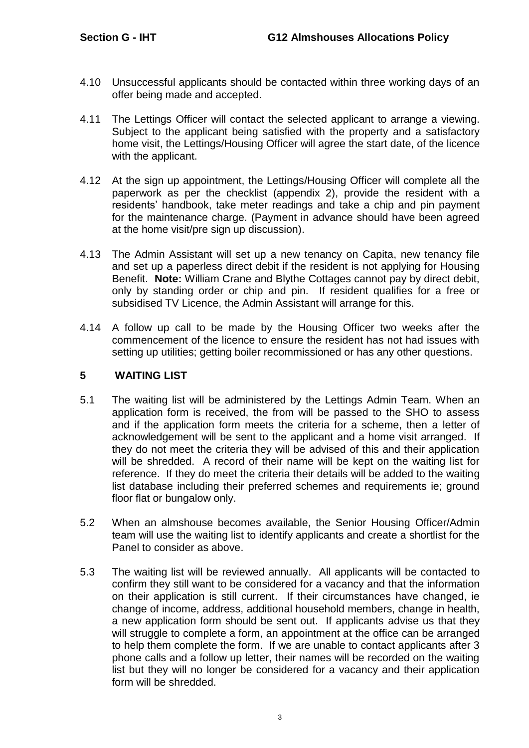- 4.10 Unsuccessful applicants should be contacted within three working days of an offer being made and accepted.
- 4.11 The Lettings Officer will contact the selected applicant to arrange a viewing. Subject to the applicant being satisfied with the property and a satisfactory home visit, the Lettings/Housing Officer will agree the start date, of the licence with the applicant.
- 4.12 At the sign up appointment, the Lettings/Housing Officer will complete all the paperwork as per the checklist (appendix 2), provide the resident with a residents' handbook, take meter readings and take a chip and pin payment for the maintenance charge. (Payment in advance should have been agreed at the home visit/pre sign up discussion).
- 4.13 The Admin Assistant will set up a new tenancy on Capita, new tenancy file and set up a paperless direct debit if the resident is not applying for Housing Benefit. **Note:** William Crane and Blythe Cottages cannot pay by direct debit, only by standing order or chip and pin. If resident qualifies for a free or subsidised TV Licence, the Admin Assistant will arrange for this.
- 4.14 A follow up call to be made by the Housing Officer two weeks after the commencement of the licence to ensure the resident has not had issues with setting up utilities; getting boiler recommissioned or has any other questions.

## **5 WAITING LIST**

- 5.1 The waiting list will be administered by the Lettings Admin Team. When an application form is received, the from will be passed to the SHO to assess and if the application form meets the criteria for a scheme, then a letter of acknowledgement will be sent to the applicant and a home visit arranged. If they do not meet the criteria they will be advised of this and their application will be shredded. A record of their name will be kept on the waiting list for reference. If they do meet the criteria their details will be added to the waiting list database including their preferred schemes and requirements ie; ground floor flat or bungalow only.
- 5.2 When an almshouse becomes available, the Senior Housing Officer/Admin team will use the waiting list to identify applicants and create a shortlist for the Panel to consider as above.
- 5.3 The waiting list will be reviewed annually. All applicants will be contacted to confirm they still want to be considered for a vacancy and that the information on their application is still current. If their circumstances have changed, ie change of income, address, additional household members, change in health, a new application form should be sent out. If applicants advise us that they will struggle to complete a form, an appointment at the office can be arranged to help them complete the form. If we are unable to contact applicants after 3 phone calls and a follow up letter, their names will be recorded on the waiting list but they will no longer be considered for a vacancy and their application form will be shredded.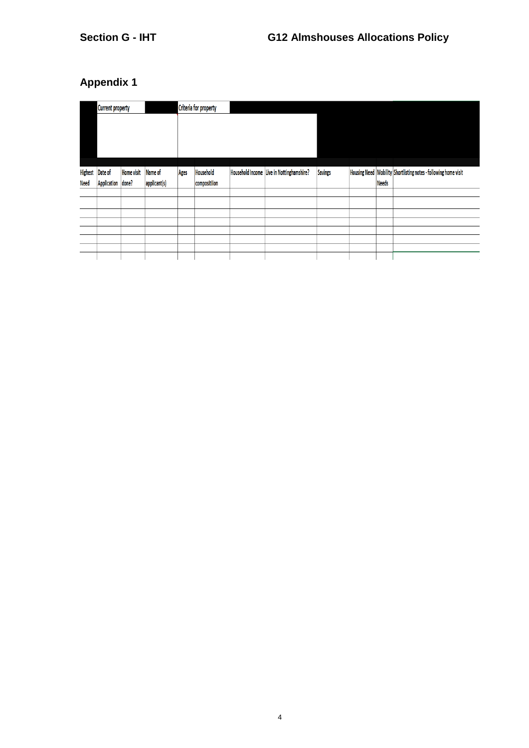## **Appendix 1**

|                               | <b>Current property</b> |                   | <b>Criteria for property</b> |             |              |                                           |                |              |                                                                     |
|-------------------------------|-------------------------|-------------------|------------------------------|-------------|--------------|-------------------------------------------|----------------|--------------|---------------------------------------------------------------------|
|                               | Date of                 | <b>Home visit</b> | Name of                      |             | Household    | Household Income Live in Nottinghamshire? | <b>Savings</b> |              | Housing Need   Mobility   Shortlisting notes - following home visit |
| <b>Highest</b><br><b>Need</b> | Application done?       |                   | applicant(s)                 | <b>Ages</b> | compositiion |                                           |                | <b>Needs</b> |                                                                     |
|                               |                         |                   |                              |             |              |                                           |                |              |                                                                     |
|                               |                         |                   |                              |             |              |                                           |                |              |                                                                     |
|                               |                         |                   |                              |             |              |                                           |                |              |                                                                     |
|                               |                         |                   |                              |             |              |                                           |                |              |                                                                     |
|                               |                         |                   |                              |             |              |                                           |                |              |                                                                     |
|                               |                         |                   |                              |             |              |                                           |                |              |                                                                     |
|                               |                         |                   |                              |             |              |                                           |                |              |                                                                     |
|                               |                         |                   |                              |             |              |                                           |                |              |                                                                     |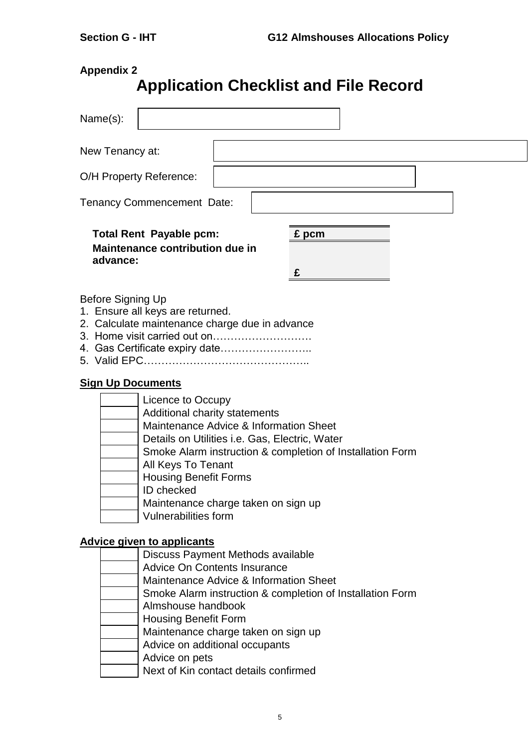## **Appendix 2**

## **Application Checklist and File Record**

| Name(s):                                                                                                                                                                                 |                                                                                                                                                                                              |
|------------------------------------------------------------------------------------------------------------------------------------------------------------------------------------------|----------------------------------------------------------------------------------------------------------------------------------------------------------------------------------------------|
| New Tenancy at:                                                                                                                                                                          |                                                                                                                                                                                              |
| O/H Property Reference:                                                                                                                                                                  |                                                                                                                                                                                              |
| <b>Tenancy Commencement Date:</b>                                                                                                                                                        |                                                                                                                                                                                              |
| <b>Total Rent Payable pcm:</b><br>Maintenance contribution due in<br>advance:                                                                                                            | £ pcm<br>£                                                                                                                                                                                   |
| Before Signing Up<br>1. Ensure all keys are returned.<br>2. Calculate maintenance charge due in advance<br>4. Gas Certificate expiry date                                                |                                                                                                                                                                                              |
| <b>Sign Up Documents</b><br>Licence to Occupy<br>Additional charity statements<br>All Keys To Tenant<br><b>Housing Benefit Forms</b><br><b>ID</b> checked<br><b>Vulnerabilities form</b> | Maintenance Advice & Information Sheet<br>Details on Utilities i.e. Gas, Electric, Water<br>Smoke Alarm instruction & completion of Installation Form<br>Maintenance charge taken on sign up |
| <b>Advice given to applicants</b>                                                                                                                                                        | Discuss Payment Methods available<br><b>Advice On Contents Insurance</b><br>Maintenance Advice & Information Sheet                                                                           |

- Smoke Alarm instruction & completion of Installation Form
- Almshouse handbook
- Housing Benefit Form
- Maintenance charge taken on sign up
- Advice on additional occupants
- Advice on pets
	- Next of Kin contact details confirmed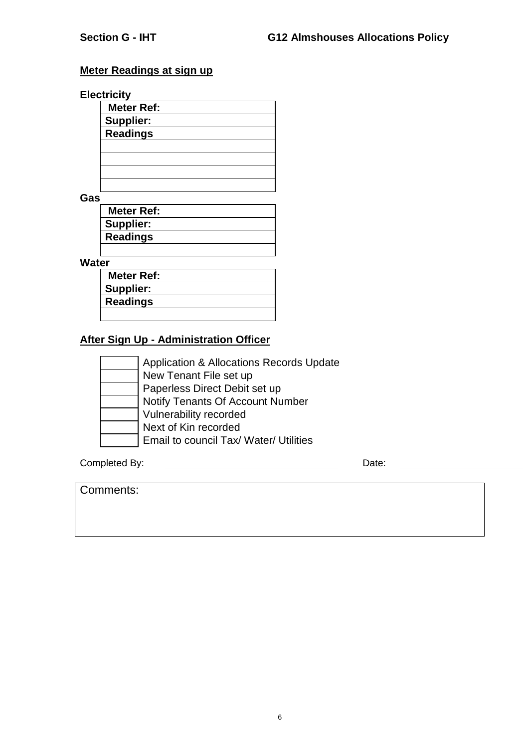## **Meter Readings at sign up**

## **Electricity**

| Meter Ref:       |  |
|------------------|--|
| <b>Supplier:</b> |  |
| <b>Readings</b>  |  |
|                  |  |
|                  |  |
|                  |  |
|                  |  |

**Gas**

| <b>Meter Ref:</b> |  |
|-------------------|--|
| Supplier:         |  |
| <b>Readings</b>   |  |
|                   |  |

**Water**

| <b>Meter Ref:</b> |  |
|-------------------|--|
| Supplier:         |  |
| <b>Readings</b>   |  |
|                   |  |

## **After Sign Up - Administration Officer**

| <b>Application &amp; Allocations Records Update</b> |
|-----------------------------------------------------|
| New Tenant File set up                              |
| Paperless Direct Debit set up                       |
| Notify Tenants Of Account Number                    |
| Vulnerability recorded                              |
| Next of Kin recorded                                |
| Email to council Tax/ Water/ Utilities              |

Completed By: Date:

| Comments: |
|-----------|
|-----------|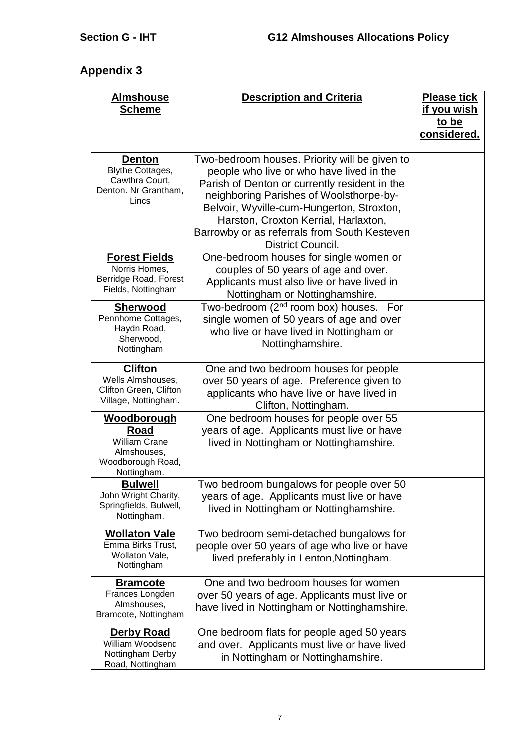## **Appendix 3**

| <b>Almshouse</b><br><b>Scheme</b>                                                                     | <b>Description and Criteria</b>                                                                                                                                                                                                                                                                                                                 | <b>Please tick</b><br><u>if you wish</u><br>to be<br>considered. |
|-------------------------------------------------------------------------------------------------------|-------------------------------------------------------------------------------------------------------------------------------------------------------------------------------------------------------------------------------------------------------------------------------------------------------------------------------------------------|------------------------------------------------------------------|
| <b>Denton</b><br><b>Blythe Cottages,</b><br>Cawthra Court,<br>Denton. Nr Grantham,<br>Lincs           | Two-bedroom houses. Priority will be given to<br>people who live or who have lived in the<br>Parish of Denton or currently resident in the<br>neighboring Parishes of Woolsthorpe-by-<br>Belvoir, Wyville-cum-Hungerton, Stroxton,<br>Harston, Croxton Kerrial, Harlaxton,<br>Barrowby or as referrals from South Kesteven<br>District Council. |                                                                  |
| <b>Forest Fields</b><br>Norris Homes,<br>Berridge Road, Forest<br>Fields, Nottingham                  | One-bedroom houses for single women or<br>couples of 50 years of age and over.<br>Applicants must also live or have lived in<br>Nottingham or Nottinghamshire.                                                                                                                                                                                  |                                                                  |
| <b>Sherwood</b><br>Pennhome Cottages,<br>Haydn Road,<br>Sherwood,<br>Nottingham                       | Two-bedroom (2 <sup>nd</sup> room box) houses. For<br>single women of 50 years of age and over<br>who live or have lived in Nottingham or<br>Nottinghamshire.                                                                                                                                                                                   |                                                                  |
| <b>Clifton</b><br>Wells Almshouses,<br>Clifton Green, Clifton<br>Village, Nottingham.                 | One and two bedroom houses for people<br>over 50 years of age. Preference given to<br>applicants who have live or have lived in<br>Clifton, Nottingham.                                                                                                                                                                                         |                                                                  |
| <u>Woodborough</u><br>Road<br><b>William Crane</b><br>Almshouses,<br>Woodborough Road,<br>Nottingham. | One bedroom houses for people over 55<br>years of age. Applicants must live or have<br>lived in Nottingham or Nottinghamshire.                                                                                                                                                                                                                  |                                                                  |
| <b>Bulwell</b><br>John Wright Charity,<br>Springfields, Bulwell,<br>Nottingham.                       | Two bedroom bungalows for people over 50<br>years of age. Applicants must live or have<br>lived in Nottingham or Nottinghamshire.                                                                                                                                                                                                               |                                                                  |
| <b>Wollaton Vale</b><br>Emma Birks Trust,<br>Wollaton Vale,<br>Nottingham                             | Two bedroom semi-detached bungalows for<br>people over 50 years of age who live or have<br>lived preferably in Lenton, Nottingham.                                                                                                                                                                                                              |                                                                  |
| <b>Bramcote</b><br>Frances Longden<br>Almshouses,<br>Bramcote, Nottingham                             | One and two bedroom houses for women<br>over 50 years of age. Applicants must live or<br>have lived in Nottingham or Nottinghamshire.                                                                                                                                                                                                           |                                                                  |
| <b>Derby Road</b><br>William Woodsend<br>Nottingham Derby<br>Road, Nottingham                         | One bedroom flats for people aged 50 years<br>and over. Applicants must live or have lived<br>in Nottingham or Nottinghamshire.                                                                                                                                                                                                                 |                                                                  |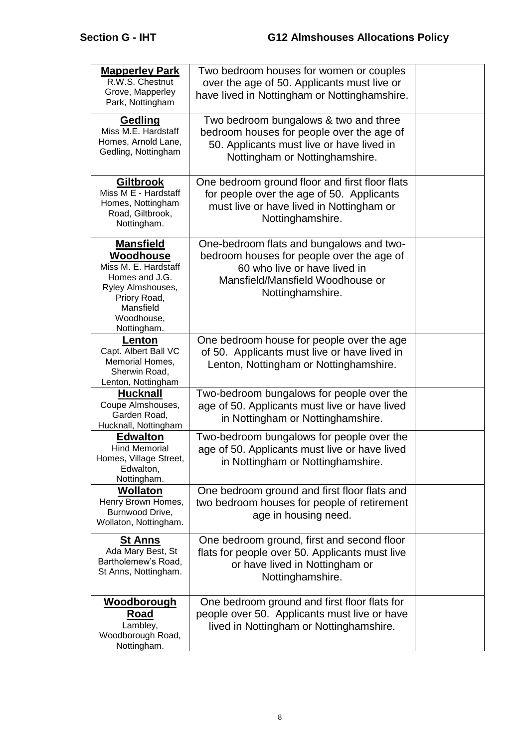| <b>Mapperley Park</b><br>R.W.S. Chestnut<br>Grove, Mapperley<br>Park, Nottingham                                                                       | Two bedroom houses for women or couples<br>over the age of 50. Applicants must live or<br>have lived in Nottingham or Nottinghamshire.                                        |  |
|--------------------------------------------------------------------------------------------------------------------------------------------------------|-------------------------------------------------------------------------------------------------------------------------------------------------------------------------------|--|
| Gedling<br>Miss M.E. Hardstaff<br>Homes, Arnold Lane,<br>Gedling, Nottingham                                                                           | Two bedroom bungalows & two and three<br>bedroom houses for people over the age of<br>50. Applicants must live or have lived in<br>Nottingham or Nottinghamshire.             |  |
| Giltbrook<br>Miss M E - Hardstaff<br>Homes, Nottingham<br>Road, Giltbrook,<br>Nottingham.                                                              | One bedroom ground floor and first floor flats<br>for people over the age of 50. Applicants<br>must live or have lived in Nottingham or<br>Nottinghamshire.                   |  |
| <b>Mansfield</b><br>Woodhouse<br>Miss M. E. Hardstaff<br>Homes and J.G.<br>Ryley Almshouses,<br>Priory Road,<br>Mansfield<br>Woodhouse,<br>Nottingham. | One-bedroom flats and bungalows and two-<br>bedroom houses for people over the age of<br>60 who live or have lived in<br>Mansfield/Mansfield Woodhouse or<br>Nottinghamshire. |  |
| <b>Lenton</b><br>Capt. Albert Ball VC<br>Memorial Homes,<br>Sherwin Road,<br>Lenton, Nottingham                                                        | One bedroom house for people over the age<br>of 50. Applicants must live or have lived in<br>Lenton, Nottingham or Nottinghamshire.                                           |  |
| <b>Hucknall</b><br>Coupe Almshouses,<br>Garden Road,<br>Hucknall, Nottingham                                                                           | Two-bedroom bungalows for people over the<br>age of 50. Applicants must live or have lived<br>in Nottingham or Nottinghamshire.                                               |  |
| <b>Edwalton</b><br><b>Hind Memorial</b><br>Homes, Village Street,<br>Edwalton,<br>Nottingham.                                                          | Two-bedroom bungalows for people over the<br>age of 50. Applicants must live or have lived<br>in Nottingham or Nottinghamshire.                                               |  |
| <b>Wollaton</b><br>Henry Brown Homes,<br>Burnwood Drive,<br>Wollaton, Nottingham.                                                                      | One bedroom ground and first floor flats and<br>two bedroom houses for people of retirement<br>age in housing need.                                                           |  |
| <u>St Anns</u><br>Ada Mary Best, St<br>Bartholemew's Road,<br>St Anns, Nottingham.                                                                     | One bedroom ground, first and second floor<br>flats for people over 50. Applicants must live<br>or have lived in Nottingham or<br>Nottinghamshire.                            |  |
| <b>Woodborough</b><br>Road<br>Lambley,<br>Woodborough Road,<br>Nottingham.                                                                             | One bedroom ground and first floor flats for<br>people over 50. Applicants must live or have<br>lived in Nottingham or Nottinghamshire.                                       |  |